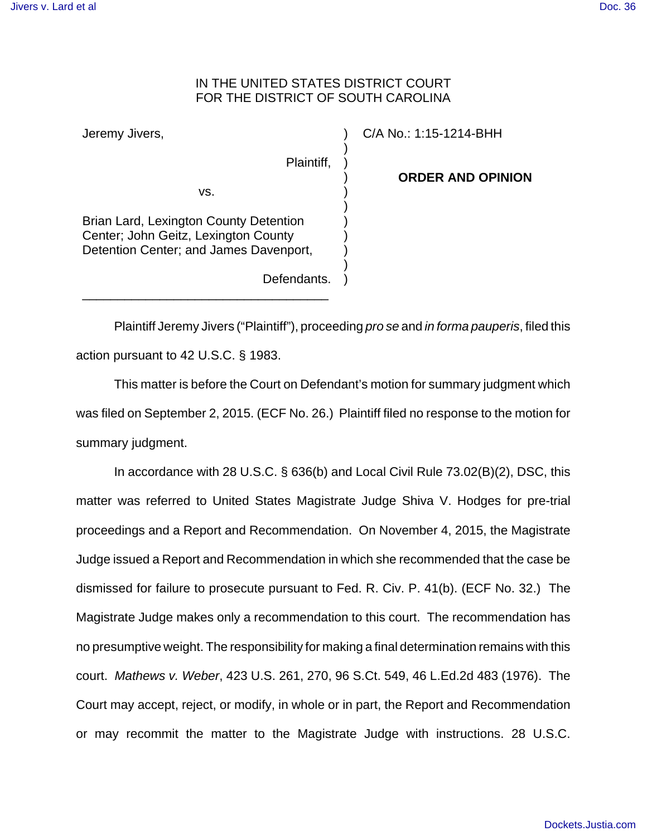## IN THE UNITED STATES DISTRICT COURT FOR THE DISTRICT OF SOUTH CAROLINA

) ) ) ) ) ) ) ) ) ) )

Jeremy Jivers,

Plaintiff,

C/A No.: 1:15-1214-BHH

**ORDER AND OPINION**

Brian Lard, Lexington County Detention Center; John Geitz, Lexington County Detention Center; and James Davenport,

vs.

\_\_\_\_\_\_\_\_\_\_\_\_\_\_\_\_\_\_\_\_\_\_\_\_\_\_\_\_\_\_\_\_\_\_\_

Plaintiff Jeremy Jivers ("Plaintiff"), proceeding pro se and in forma pauperis, filed this

Defendants.

action pursuant to 42 U.S.C. § 1983.

This matter is before the Court on Defendant's motion for summary judgment which was filed on September 2, 2015. (ECF No. 26.) Plaintiff filed no response to the motion for summary judgment.

In accordance with 28 U.S.C. § 636(b) and Local Civil Rule 73.02(B)(2), DSC, this matter was referred to United States Magistrate Judge Shiva V. Hodges for pre-trial proceedings and a Report and Recommendation. On November 4, 2015, the Magistrate Judge issued a Report and Recommendation in which she recommended that the case be dismissed for failure to prosecute pursuant to Fed. R. Civ. P. 41(b). (ECF No. 32.) The Magistrate Judge makes only a recommendation to this court. The recommendation has no presumptive weight. The responsibility for making a final determination remains with this court. Mathews v. Weber, 423 U.S. 261, 270, 96 S.Ct. 549, 46 L.Ed.2d 483 (1976). The Court may accept, reject, or modify, in whole or in part, the Report and Recommendation or may recommit the matter to the Magistrate Judge with instructions. 28 U.S.C.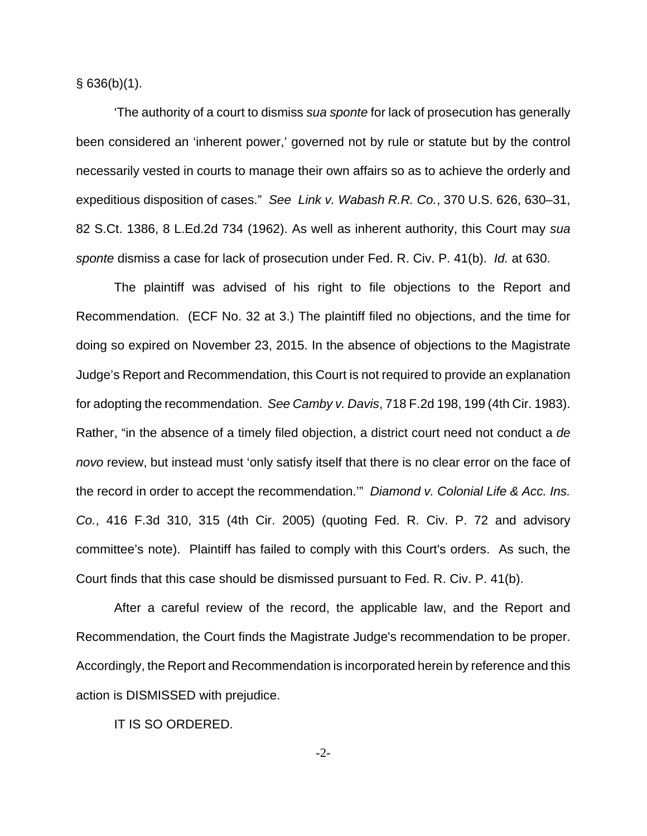$§$  636(b)(1).

'The authority of a court to dismiss sua sponte for lack of prosecution has generally been considered an 'inherent power,' governed not by rule or statute but by the control necessarily vested in courts to manage their own affairs so as to achieve the orderly and expeditious disposition of cases." See Link v. Wabash R.R. Co., 370 U.S. 626, 630–31, 82 S.Ct. 1386, 8 L.Ed.2d 734 (1962). As well as inherent authority, this Court may sua sponte dismiss a case for lack of prosecution under Fed. R. Civ. P. 41(b). Id. at 630.

The plaintiff was advised of his right to file objections to the Report and Recommendation. (ECF No. 32 at 3.) The plaintiff filed no objections, and the time for doing so expired on November 23, 2015. In the absence of objections to the Magistrate Judge's Report and Recommendation, this Court is not required to provide an explanation for adopting the recommendation. See Camby v. Davis, 718 F.2d 198, 199 (4th Cir. 1983). Rather, "in the absence of a timely filed objection, a district court need not conduct a de novo review, but instead must 'only satisfy itself that there is no clear error on the face of the record in order to accept the recommendation.'" Diamond v. Colonial Life & Acc. Ins. Co., 416 F.3d 310, 315 (4th Cir. 2005) (quoting Fed. R. Civ. P. 72 and advisory committee's note). Plaintiff has failed to comply with this Court's orders. As such, the Court finds that this case should be dismissed pursuant to Fed. R. Civ. P. 41(b).

After a careful review of the record, the applicable law, and the Report and Recommendation, the Court finds the Magistrate Judge's recommendation to be proper. Accordingly, the Report and Recommendation is incorporated herein by reference and this action is DISMISSED with prejudice.

IT IS SO ORDERED.

-2-